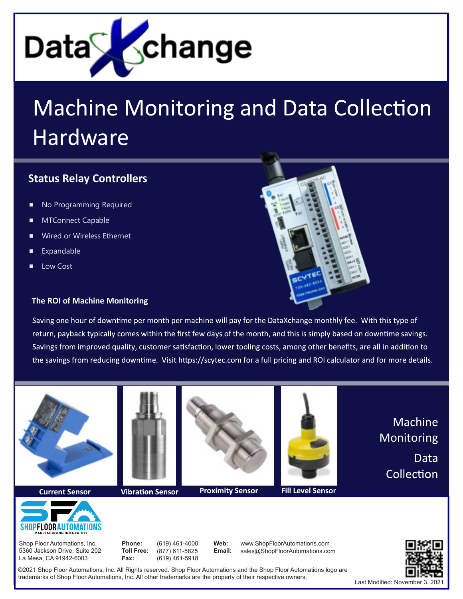

# **Machine Monitoring and Data Collection** Hardware

## **Status Relay Controllers**

- No Programming Required
- **MTConnect Capable**
- Wired or Wireless Ethernet
- Expandable
- Low Cost

#### **The ROI of Machine Monitoring**

Saving one hour of downtime per month per machine will pay for the DataXchange monthly fee. With this type of return, payback typically comes within the first few days of the month, and this is simply based on downtime savings. Savings from improved quality, customer satisfaction, lower tooling costs, among other benefits, are all in addition to the savings from reducing downtime. Visit https://scytec.com for a full pricing and ROI calculator and for more details.











Machine Monitoring Data Collection



**Web: Email:**



Shop Floor Automations, Inc. 5360 Jackson Drive, Suite 202 La Mesa, CA 91942-6003

**Phone: Toll Free: Fax:**

(619) 461-4000 (877) 611-5825 (619) 461-5918

www.ShopFloorAutomations.com sales@ShopFloorAutomations.com



©2021 Shop Floor Automations, Inc. All Rights reserved. Shop Floor Automations and the Shop Floor Automations logo are<br>trademarks of Shop Floor Automations, Inc. All other trademarks are the property of their respective ow trademarks of Shop Floor Automations, Inc. All other trademarks are the property of their respective owners.

Last Modified: November 3